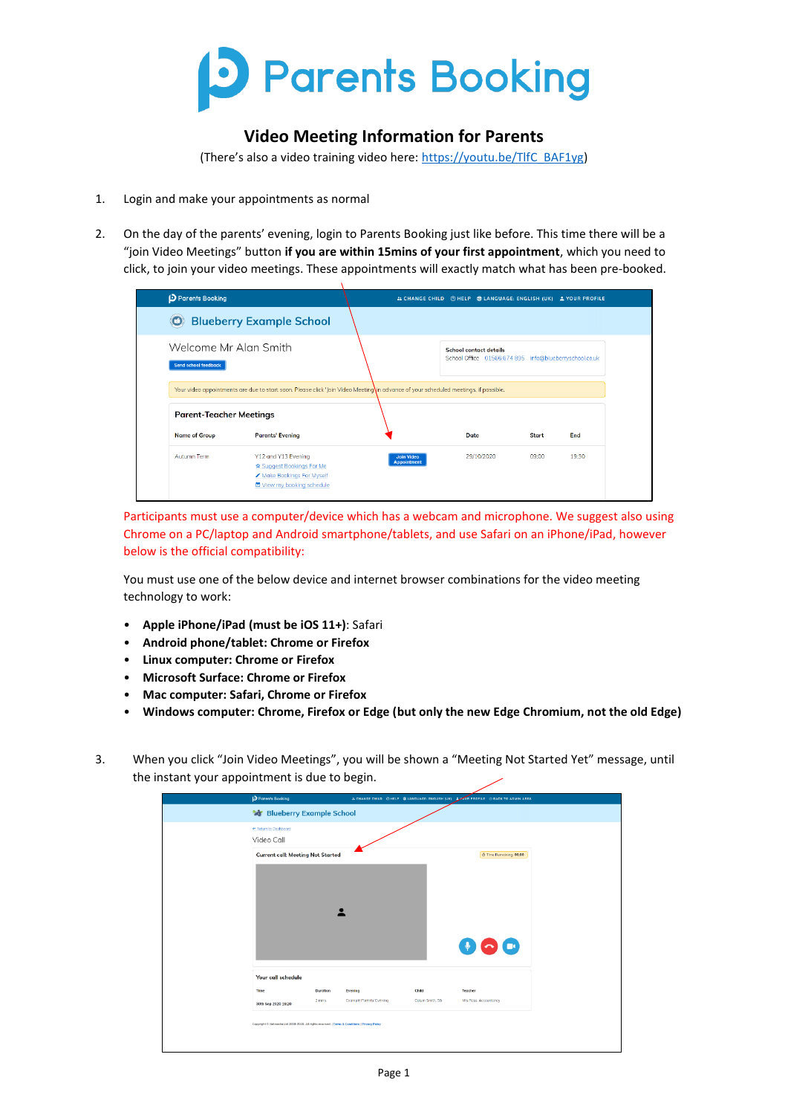

## **Video Meeting Information for Parents**

(There's also a video training video here: [https://youtu.be/TlfC\\_BAF1yg\)](https://youtu.be/TlfC_BAF1yg)

- 1. Login and make your appointments as normal
- 2. On the day of the parents' evening, login to Parents Booking just like before. This time there will be a "join Video Meetings" button **if you are within 15mins of your first appointment**, which you need to click, to join your video meetings. These appointments will exactly match what has been pre-booked.

| Parents Booking                                                                                                                     |                                         | 21 CHANGE CHILD @ HELP @ LANGUAGE: ENGLISH (UK) ± YOUR PROFILE                          |       |       |
|-------------------------------------------------------------------------------------------------------------------------------------|-----------------------------------------|-----------------------------------------------------------------------------------------|-------|-------|
| <b>Blueberry Example School</b>                                                                                                     |                                         |                                                                                         |       |       |
| Welcome Mr Alan Smith<br><b>Send school feedback</b>                                                                                |                                         | <b>School contact details</b><br>School Office 01566 674 895 info@blueberryschool.co.uk |       |       |
| Your video appointments are due to start soon. Please click 'Join Video Meeting in advance of your scheduled meetings, if possible. |                                         |                                                                                         |       |       |
| <b>Parent Teacher Meetings</b>                                                                                                      |                                         |                                                                                         |       |       |
| <b>Name of Group</b><br><b>Parents' Evening</b>                                                                                     |                                         | Date                                                                                    | Start | End   |
| Autumn Term<br>Y12 and Y13 Evening<br>☆ Suggest Bookings For Me<br>Make Bookings For Myself<br>邑 View my booking schedule           | <b>Join Video</b><br><b>Appointment</b> | 29/10/2020                                                                              | 09:00 | 19:30 |

Participants must use a computer/device which has a webcam and microphone. We suggest also using Chrome on a PC/laptop and Android smartphone/tablets, and use Safari on an iPhone/iPad, however below is the official compatibility:

You must use one of the below device and internet browser combinations for the video meeting technology to work:

- **Apple iPhone/iPad (must be iOS 11+)**: Safari
- **Android phone/tablet: Chrome or Firefox**
- **Linux computer: Chrome or Firefox**
- **Microsoft Surface: Chrome or Firefox**
- **Mac computer: Safari, Chrome or Firefox**
- **Windows computer: Chrome, Firefox or Edge (but only the new Edge Chromium, not the old Edge)**
- 3. When you click "Join Video Meetings", you will be shown a "Meeting Not Started Yet" message, until the instant your appointment is due to begin.

| Parents Booking                                                                                |          |                                 |                 | ALCHANGE CHILD @ HELP @ LANGUAGE: ENGLISH (UK) LOUR PROFILE @ BACK TO ADMIN AREA |
|------------------------------------------------------------------------------------------------|----------|---------------------------------|-----------------|----------------------------------------------------------------------------------|
| <b>Re Blueberry Example School</b>                                                             |          |                                 |                 |                                                                                  |
| e Return to Doshboord                                                                          |          |                                 |                 |                                                                                  |
| Video Call                                                                                     |          |                                 |                 |                                                                                  |
| <b>Current call: Meeting Not Started</b>                                                       |          |                                 |                 | Time Remaining: 00:00                                                            |
|                                                                                                |          |                                 |                 |                                                                                  |
|                                                                                                |          |                                 |                 |                                                                                  |
|                                                                                                |          |                                 |                 |                                                                                  |
|                                                                                                |          |                                 |                 |                                                                                  |
|                                                                                                |          |                                 |                 |                                                                                  |
|                                                                                                |          |                                 |                 |                                                                                  |
|                                                                                                |          |                                 |                 | 00<br>$\bullet$                                                                  |
|                                                                                                |          |                                 |                 |                                                                                  |
| Your call schedule                                                                             |          |                                 |                 |                                                                                  |
| Time                                                                                           | Duration | Evening                         | Child           | Teacher                                                                          |
| 30th Sep 2020 19:20                                                                            | 2 mins   | <b>Example Porents' Evening</b> | Colum Smith, S6 | Mrs Ross, Accountancy                                                            |
|                                                                                                |          |                                 |                 |                                                                                  |
| Copyright # Netmedia Ltd 2009-2020. All rights reserved.   Terms & Conditions   Privacy Policy |          |                                 |                 |                                                                                  |
|                                                                                                |          |                                 |                 |                                                                                  |